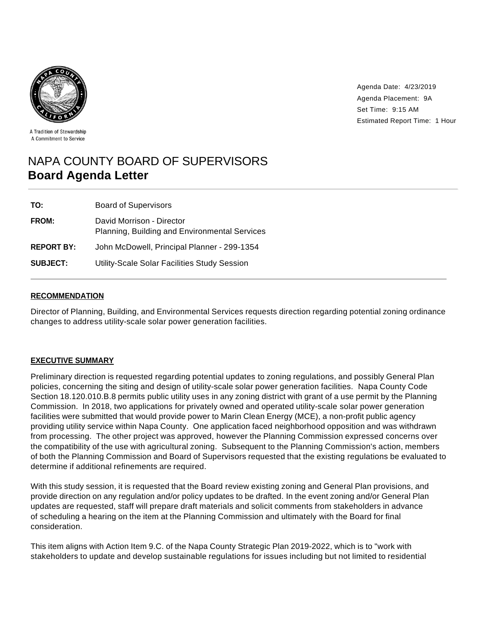

Agenda Date: 4/23/2019 Agenda Placement: 9A Set Time: 9:15 AM Estimated Report Time: 1 Hour

#### A Tradition of Stewardship A Commitment to Service

# NAPA COUNTY BOARD OF SUPERVISORS **Board Agenda Letter**

| TO:               | <b>Board of Supervisors</b>                                                |
|-------------------|----------------------------------------------------------------------------|
| <b>FROM:</b>      | David Morrison - Director<br>Planning, Building and Environmental Services |
| <b>REPORT BY:</b> | John McDowell, Principal Planner - 299-1354                                |
| <b>SUBJECT:</b>   | Utility-Scale Solar Facilities Study Session                               |

# **RECOMMENDATION**

Director of Planning, Building, and Environmental Services requests direction regarding potential zoning ordinance changes to address utility-scale solar power generation facilities.

#### **EXECUTIVE SUMMARY**

Preliminary direction is requested regarding potential updates to zoning regulations, and possibly General Plan policies, concerning the siting and design of utility-scale solar power generation facilities. Napa County Code Section 18.120.010.B.8 permits public utility uses in any zoning district with grant of a use permit by the Planning Commission. In 2018, two applications for privately owned and operated utility-scale solar power generation facilities were submitted that would provide power to Marin Clean Energy (MCE), a non-profit public agency providing utility service within Napa County. One application faced neighborhood opposition and was withdrawn from processing. The other project was approved, however the Planning Commission expressed concerns over the compatibility of the use with agricultural zoning. Subsequent to the Planning Commission's action, members of both the Planning Commission and Board of Supervisors requested that the existing regulations be evaluated to determine if additional refinements are required.

With this study session, it is requested that the Board review existing zoning and General Plan provisions, and provide direction on any regulation and/or policy updates to be drafted. In the event zoning and/or General Plan updates are requested, staff will prepare draft materials and solicit comments from stakeholders in advance of scheduling a hearing on the item at the Planning Commission and ultimately with the Board for final consideration.

This item aligns with Action Item 9.C. of the Napa County Strategic Plan 2019-2022, which is to "work with stakeholders to update and develop sustainable regulations for issues including but not limited to residential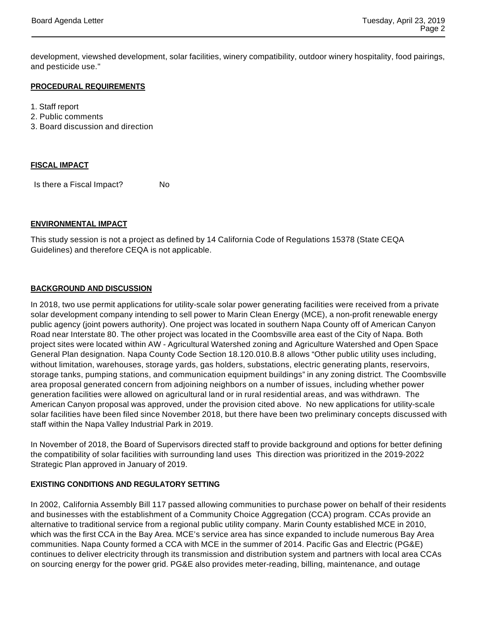development, viewshed development, solar facilities, winery compatibility, outdoor winery hospitality, food pairings, and pesticide use."

## **PROCEDURAL REQUIREMENTS**

1. Staff report

- 2. Public comments
- 3. Board discussion and direction

#### **FISCAL IMPACT**

Is there a Fiscal Impact? No

## **ENVIRONMENTAL IMPACT**

This study session is not a project as defined by 14 California Code of Regulations 15378 (State CEQA Guidelines) and therefore CEQA is not applicable.

## **BACKGROUND AND DISCUSSION**

In 2018, two use permit applications for utility-scale solar power generating facilities were received from a private solar development company intending to sell power to Marin Clean Energy (MCE), a non-profit renewable energy public agency (joint powers authority). One project was located in southern Napa County off of American Canyon Road near Interstate 80. The other project was located in the Coombsville area east of the City of Napa. Both project sites were located within AW - Agricultural Watershed zoning and Agriculture Watershed and Open Space General Plan designation. Napa County Code Section 18.120.010.B.8 allows "Other public utility uses including, without limitation, warehouses, storage yards, gas holders, substations, electric generating plants, reservoirs, storage tanks, pumping stations, and communication equipment buildings" in any zoning district. The Coombsville area proposal generated concern from adjoining neighbors on a number of issues, including whether power generation facilities were allowed on agricultural land or in rural residential areas, and was withdrawn. The American Canyon proposal was approved, under the provision cited above. No new applications for utility-scale solar facilities have been filed since November 2018, but there have been two preliminary concepts discussed with staff within the Napa Valley Industrial Park in 2019.

In November of 2018, the Board of Supervisors directed staff to provide background and options for better defining the compatibility of solar facilities with surrounding land uses This direction was prioritized in the 2019-2022 Strategic Plan approved in January of 2019.

#### **EXISTING CONDITIONS AND REGULATORY SETTING**

In 2002, California Assembly Bill 117 passed allowing communities to purchase power on behalf of their residents and businesses with the establishment of a Community Choice Aggregation (CCA) program. CCAs provide an alternative to traditional service from a regional public utility company. Marin County established MCE in 2010, which was the first CCA in the Bay Area. MCE's service area has since expanded to include numerous Bay Area communities. Napa County formed a CCA with MCE in the summer of 2014. Pacific Gas and Electric (PG&E) continues to deliver electricity through its transmission and distribution system and partners with local area CCAs on sourcing energy for the power grid. PG&E also provides meter-reading, billing, maintenance, and outage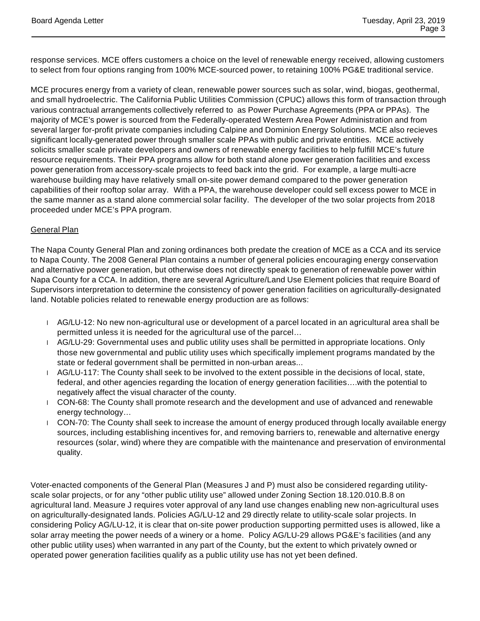response services. MCE offers customers a choice on the level of renewable energy received, allowing customers to select from four options ranging from 100% MCE-sourced power, to retaining 100% PG&E traditional service.

MCE procures energy from a variety of clean, renewable power sources such as solar, wind, biogas, geothermal, and small hydroelectric. The California Public Utilities Commission (CPUC) allows this form of transaction through various contractual arrangements collectively referred to as Power Purchase Agreements (PPA or PPAs). The majority of MCE's power is sourced from the Federally-operated Western Area Power Administration and from several larger for-profit private companies including Calpine and Dominion Energy Solutions. MCE also recieves significant locally-generated power through smaller scale PPAs with public and private entities. MCE actively solicits smaller scale private developers and owners of renewable energy facilities to help fulfill MCE's future resource requirements. Their PPA programs allow for both stand alone power generation facilities and excess power generation from accessory-scale projects to feed back into the grid. For example, a large multi-acre warehouse building may have relatively small on-site power demand compared to the power generation capabilities of their rooftop solar array. With a PPA, the warehouse developer could sell excess power to MCE in the same manner as a stand alone commercial solar facility. The developer of the two solar projects from 2018 proceeded under MCE's PPA program.

# **General Plan**

The Napa County General Plan and zoning ordinances both predate the creation of MCE as a CCA and its service to Napa County. The 2008 General Plan contains a number of general policies encouraging energy conservation and alternative power generation, but otherwise does not directly speak to generation of renewable power within Napa County for a CCA. In addition, there are several Agriculture/Land Use Element policies that require Board of Supervisors interpretation to determine the consistency of power generation facilities on agriculturally-designated land. Notable policies related to renewable energy production are as follows:

- AG/LU-12: No new non-agricultural use or development of a parcel located in an agricultural area shall be permitted unless it is needed for the agricultural use of the parcel…
- AG/LU-29: Governmental uses and public utility uses shall be permitted in appropriate locations. Only those new governmental and public utility uses which specifically implement programs mandated by the state or federal government shall be permitted in non-urban areas...
- AG/LU-117: The County shall seek to be involved to the extent possible in the decisions of local, state, federal, and other agencies regarding the location of energy generation facilities….with the potential to negatively affect the visual character of the county.
- CON-68: The County shall promote research and the development and use of advanced and renewable energy technology…
- CON-70: The County shall seek to increase the amount of energy produced through locally available energy sources, including establishing incentives for, and removing barriers to, renewable and alternative energy resources (solar, wind) where they are compatible with the maintenance and preservation of environmental quality.

Voter-enacted components of the General Plan (Measures J and P) must also be considered regarding utilityscale solar projects, or for any "other public utility use" allowed under Zoning Section 18.120.010.B.8 on agricultural land. Measure J requires voter approval of any land use changes enabling new non-agricultural uses on agriculturally-designated lands. Policies AG/LU-12 and 29 directly relate to utility-scale solar projects. In considering Policy AG/LU-12, it is clear that on-site power production supporting permitted uses is allowed, like a solar array meeting the power needs of a winery or a home. Policy AG/LU-29 allows PG&E's facilities (and any other public utility uses) when warranted in any part of the County, but the extent to which privately owned or operated power generation facilities qualify as a public utility use has not yet been defined.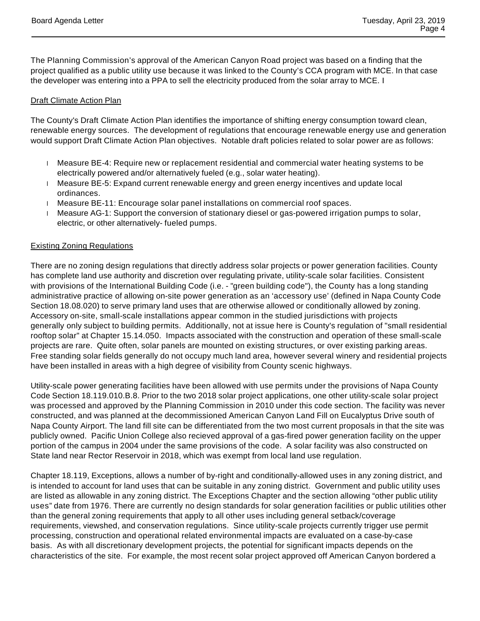The Planning Commission's approval of the American Canyon Road project was based on a finding that the project qualified as a public utility use because it was linked to the County's CCA program with MCE. In that case the developer was entering into a PPA to sell the electricity produced from the solar array to MCE. I

# **Draft Climate Action Plan**

The County's Draft Climate Action Plan identifies the importance of shifting energy consumption toward clean, renewable energy sources. The development of regulations that encourage renewable energy use and generation would support Draft Climate Action Plan objectives. Notable draft policies related to solar power are as follows:

- Measure BE-4: Require new or replacement residential and commercial water heating systems to be electrically powered and/or alternatively fueled (e.g., solar water heating).
- Measure BE-5: Expand current renewable energy and green energy incentives and update local ordinances.
- Measure BE-11: Encourage solar panel installations on commercial roof spaces.
- Measure AG-1: Support the conversion of stationary diesel or gas-powered irrigation pumps to solar, electric, or other alternatively- fueled pumps.

# Existing Zoning Regulations

There are no zoning design regulations that directly address solar projects or power generation facilities. County has complete land use authority and discretion over regulating private, utility-scale solar facilities. Consistent with provisions of the International Building Code (i.e. - "green building code"), the County has a long standing administrative practice of allowing on-site power generation as an 'accessory use' (defined in Napa County Code Section 18.08.020) to serve primary land uses that are otherwise allowed or conditionally allowed by zoning. Accessory on-site, small-scale installations appear common in the studied jurisdictions with projects generally only subject to building permits. Additionally, not at issue here is County's regulation of "small residential rooftop solar" at Chapter 15.14.050. Impacts associated with the construction and operation of these small-scale projects are rare. Quite often, solar panels are mounted on existing structures, or over existing parking areas. Free standing solar fields generally do not occupy much land area, however several winery and residential projects have been installed in areas with a high degree of visibility from County scenic highways.

Utility-scale power generating facilities have been allowed with use permits under the provisions of Napa County Code Section 18.119.010.B.8. Prior to the two 2018 solar project applications, one other utility-scale solar project was processed and approved by the Planning Commission in 2010 under this code section. The facility was never constructed, and was planned at the decommissioned American Canyon Land Fill on Eucalyptus Drive south of Napa County Airport. The land fill site can be differentiated from the two most current proposals in that the site was publicly owned. Pacific Union College also recieved approval of a gas-fired power generation facility on the upper portion of the campus in 2004 under the same provisions of the code. A solar facility was also constructed on State land near Rector Reservoir in 2018, which was exempt from local land use regulation.

Chapter 18.119, Exceptions, allows a number of by-right and conditionally-allowed uses in any zoning district, and is intended to account for land uses that can be suitable in any zoning district. Government and public utility uses are listed as allowable in any zoning district. The Exceptions Chapter and the section allowing "other public utility uses" date from 1976. There are currently no design standards for solar generation facilities or public utilities other than the general zoning requirements that apply to all other uses including general setback/coverage requirements, viewshed, and conservation regulations. Since utility-scale projects currently trigger use permit processing, construction and operational related environmental impacts are evaluated on a case-by-case basis. As with all discretionary development projects, the potential for significant impacts depends on the characteristics of the site. For example, the most recent solar project approved off American Canyon bordered a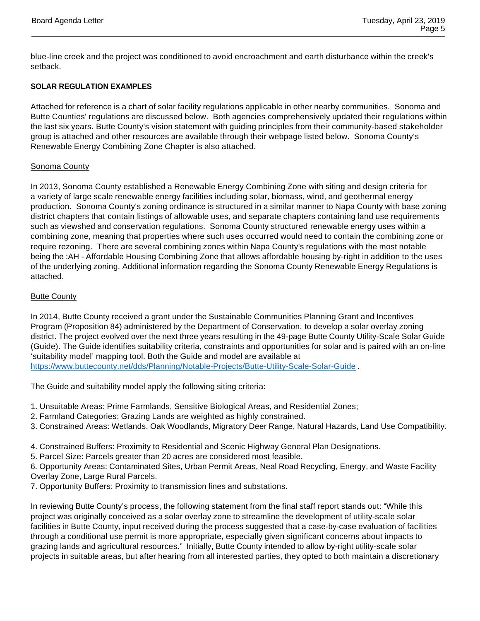blue-line creek and the project was conditioned to avoid encroachment and earth disturbance within the creek's setback.

# **SOLAR REGULATION EXAMPLES**

Attached for reference is a chart of solar facility regulations applicable in other nearby communities. Sonoma and Butte Counties' regulations are discussed below. Both agencies comprehensively updated their regulations within the last six years. Butte County's vision statement with guiding principles from their community-based stakeholder group is attached and other resources are available through their webpage listed below. Sonoma County's Renewable Energy Combining Zone Chapter is also attached.

# Sonoma County

In 2013, Sonoma County established a Renewable Energy Combining Zone with siting and design criteria for a variety of large scale renewable energy facilities including solar, biomass, wind, and geothermal energy production. Sonoma County's zoning ordinance is structured in a similar manner to Napa County with base zoning district chapters that contain listings of allowable uses, and separate chapters containing land use requirements such as viewshed and conservation regulations. Sonoma County structured renewable energy uses within a combining zone, meaning that properties where such uses occurred would need to contain the combining zone or require rezoning. There are several combining zones within Napa County's regulations with the most notable being the :AH - Affordable Housing Combining Zone that allows affordable housing by-right in addition to the uses of the underlying zoning. Additional information regarding the Sonoma County Renewable Energy Regulations is attached.

# **Butte County**

In 2014, Butte County received a grant under the Sustainable Communities Planning Grant and Incentives Program (Proposition 84) administered by the Department of Conservation, to develop a solar overlay zoning district. The project evolved over the next three years resulting in the 49-page Butte County Utility-Scale Solar Guide (Guide). The Guide identifies suitability criteria, constraints and opportunities for solar and is paired with an on-line 'suitability model' mapping tool. Both the Guide and model are available at https://www.buttecounty.net/dds/Planning/Notable-Projects/Butte-Utility-Scale-Solar-Guide .

The Guide and suitability model apply the following siting criteria:

- 1. Unsuitable Areas: Prime Farmlands, Sensitive Biological Areas, and Residential Zones;
- 2. Farmland Categories: Grazing Lands are weighted as highly constrained.
- 3. Constrained Areas: Wetlands, Oak Woodlands, Migratory Deer Range, Natural Hazards, Land Use Compatibility.
- 4. Constrained Buffers: Proximity to Residential and Scenic Highway General Plan Designations.
- 5. Parcel Size: Parcels greater than 20 acres are considered most feasible.

6. Opportunity Areas: Contaminated Sites, Urban Permit Areas, Neal Road Recycling, Energy, and Waste Facility Overlay Zone, Large Rural Parcels.

7. Opportunity Buffers: Proximity to transmission lines and substations.

In reviewing Butte County's process, the following statement from the final staff report stands out: "While this project was originally conceived as a solar overlay zone to streamline the development of utility-scale solar facilities in Butte County, input received during the process suggested that a case-by-case evaluation of facilities through a conditional use permit is more appropriate, especially given significant concerns about impacts to grazing lands and agricultural resources." Initially, Butte County intended to allow by-right utility-scale solar projects in suitable areas, but after hearing from all interested parties, they opted to both maintain a discretionary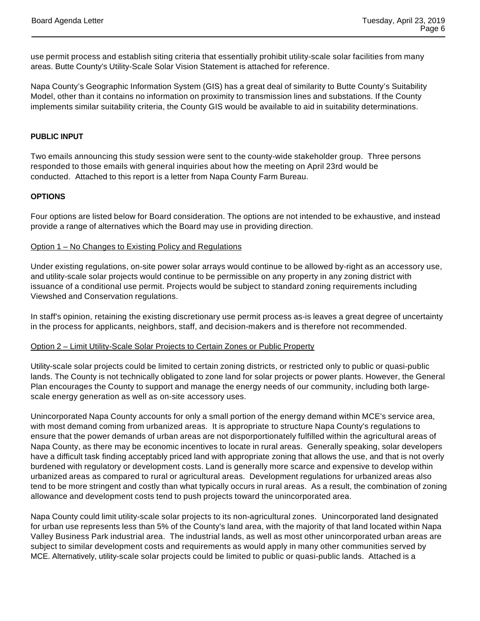use permit process and establish siting criteria that essentially prohibit utility-scale solar facilities from many areas. Butte County's Utility-Scale Solar Vision Statement is attached for reference.

Napa County's Geographic Information System (GIS) has a great deal of similarity to Butte County's Suitability Model, other than it contains no information on proximity to transmission lines and substations. If the County implements similar suitability criteria, the County GIS would be available to aid in suitability determinations.

## **PUBLIC INPUT**

Two emails announcing this study session were sent to the county-wide stakeholder group. Three persons responded to those emails with general inquiries about how the meeting on April 23rd would be conducted. Attached to this report is a letter from Napa County Farm Bureau.

#### **OPTIONS**

Four options are listed below for Board consideration. The options are not intended to be exhaustive, and instead provide a range of alternatives which the Board may use in providing direction.

#### Option 1 – No Changes to Existing Policy and Regulations

Under existing regulations, on-site power solar arrays would continue to be allowed by-right as an accessory use, and utility-scale solar projects would continue to be permissible on any property in any zoning district with issuance of a conditional use permit. Projects would be subject to standard zoning requirements including Viewshed and Conservation regulations.

In staff's opinion, retaining the existing discretionary use permit process as-is leaves a great degree of uncertainty in the process for applicants, neighbors, staff, and decision-makers and is therefore not recommended.

#### Option 2 – Limit Utility-Scale Solar Projects to Certain Zones or Public Property

Utility-scale solar projects could be limited to certain zoning districts, or restricted only to public or quasi-public lands. The County is not technically obligated to zone land for solar projects or power plants. However, the General Plan encourages the County to support and manage the energy needs of our community, including both largescale energy generation as well as on-site accessory uses.

Unincorporated Napa County accounts for only a small portion of the energy demand within MCE's service area, with most demand coming from urbanized areas. It is appropriate to structure Napa County's regulations to ensure that the power demands of urban areas are not disporportionately fulfilled within the agricultural areas of Napa County, as there may be economic incentives to locate in rural areas. Generally speaking, solar developers have a difficult task finding acceptably priced land with appropriate zoning that allows the use, and that is not overly burdened with regulatory or development costs. Land is generally more scarce and expensive to develop within urbanized areas as compared to rural or agricultural areas. Development regulations for urbanized areas also tend to be more stringent and costly than what typically occurs in rural areas. As a result, the combination of zoning allowance and development costs tend to push projects toward the unincorporated area.

Napa County could limit utility-scale solar projects to its non-agricultural zones. Unincorporated land designated for urban use represents less than 5% of the County's land area, with the majority of that land located within Napa Valley Business Park industrial area. The industrial lands, as well as most other unincorporated urban areas are subject to similar development costs and requirements as would apply in many other communities served by MCE. Alternatively, utility-scale solar projects could be limited to public or quasi-public lands. Attached is a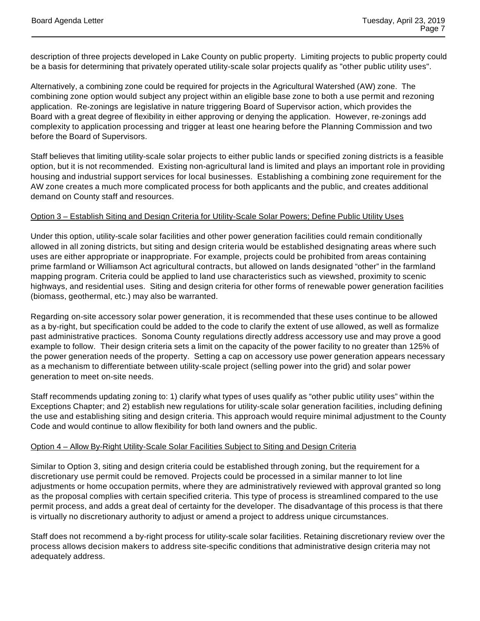description of three projects developed in Lake County on public property. Limiting projects to public property could be a basis for determining that privately operated utility-scale solar projects qualify as "other public utility uses".

Alternatively, a combining zone could be required for projects in the Agricultural Watershed (AW) zone. The combining zone option would subject any project within an eligible base zone to both a use permit and rezoning application. Re-zonings are legislative in nature triggering Board of Supervisor action, which provides the Board with a great degree of flexibility in either approving or denying the application. However, re-zonings add complexity to application processing and trigger at least one hearing before the Planning Commission and two before the Board of Supervisors.

Staff believes that limiting utility-scale solar projects to either public lands or specified zoning districts is a feasible option, but it is not recommended. Existing non-agricultural land is limited and plays an important role in providing housing and industrial support services for local businesses. Establishing a combining zone requirement for the AW zone creates a much more complicated process for both applicants and the public, and creates additional demand on County staff and resources.

## Option 3 – Establish Siting and Design Criteria for Utility-Scale Solar Powers; Define Public Utility Uses

Under this option, utility-scale solar facilities and other power generation facilities could remain conditionally allowed in all zoning districts, but siting and design criteria would be established designating areas where such uses are either appropriate or inappropriate. For example, projects could be prohibited from areas containing prime farmland or Williamson Act agricultural contracts, but allowed on lands designated "other" in the farmland mapping program. Criteria could be applied to land use characteristics such as viewshed, proximity to scenic highways, and residential uses. Siting and design criteria for other forms of renewable power generation facilities (biomass, geothermal, etc.) may also be warranted.

Regarding on-site accessory solar power generation, it is recommended that these uses continue to be allowed as a by-right, but specification could be added to the code to clarify the extent of use allowed, as well as formalize past administrative practices. Sonoma County regulations directly address accessory use and may prove a good example to follow. Their design criteria sets a limit on the capacity of the power facility to no greater than 125% of the power generation needs of the property. Setting a cap on accessory use power generation appears necessary as a mechanism to differentiate between utility-scale project (selling power into the grid) and solar power generation to meet on-site needs.

Staff recommends updating zoning to: 1) clarify what types of uses qualify as "other public utility uses" within the Exceptions Chapter; and 2) establish new regulations for utility-scale solar generation facilities, including defining the use and establishing siting and design criteria. This approach would require minimal adjustment to the County Code and would continue to allow flexibility for both land owners and the public.

#### Option 4 – Allow By-Right Utility-Scale Solar Facilities Subject to Siting and Design Criteria

Similar to Option 3, siting and design criteria could be established through zoning, but the requirement for a discretionary use permit could be removed. Projects could be processed in a similar manner to lot line adjustments or home occupation permits, where they are administratively reviewed with approval granted so long as the proposal complies with certain specified criteria. This type of process is streamlined compared to the use permit process, and adds a great deal of certainty for the developer. The disadvantage of this process is that there is virtually no discretionary authority to adjust or amend a project to address unique circumstances.

Staff does not recommend a by-right process for utility-scale solar facilities. Retaining discretionary review over the process allows decision makers to address site-specific conditions that administrative design criteria may not adequately address.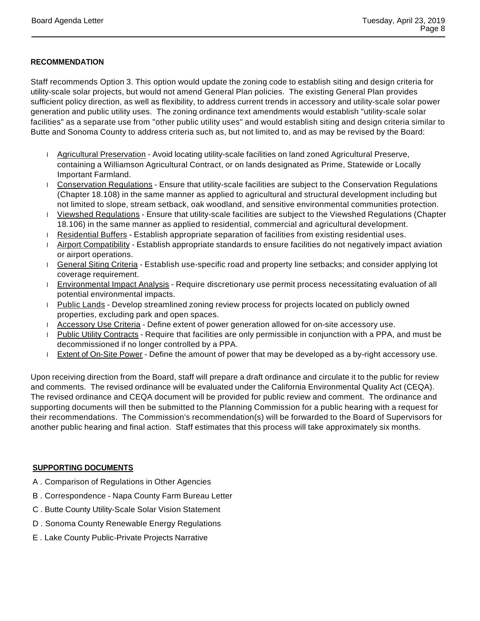# **RECOMMENDATION**

Staff recommends Option 3. This option would update the zoning code to establish siting and design criteria for utility-scale solar projects, but would not amend General Plan policies. The existing General Plan provides sufficient policy direction, as well as flexibility, to address current trends in accessory and utility-scale solar power generation and public utility uses. The zoning ordinance text amendments would establish "utility-scale solar facilities" as a separate use from "other public utility uses" and would establish siting and design criteria similar to Butte and Sonoma County to address criteria such as, but not limited to, and as may be revised by the Board:

- Agricultural Preservation Avoid locating utility-scale facilities on land zoned Agricultural Preserve, containing a Williamson Agricultural Contract, or on lands designated as Prime, Statewide or Locally Important Farmland.
- Conservation Regulations Ensure that utility-scale facilities are subject to the Conservation Regulations (Chapter 18.108) in the same manner as applied to agricultural and structural development including but not limited to slope, stream setback, oak woodland, and sensitive environmental communities protection.
- Viewshed Regulations Ensure that utility-scale facilities are subject to the Viewshed Regulations (Chapter 18.106) in the same manner as applied to residential, commercial and agricultural development.
- Residential Buffers Establish appropriate separation of facilities from existing residential uses.
- Airport Compatibility Establish appropriate standards to ensure facilities do not negatively impact aviation or airport operations.
- General Siting Criteria Establish use-specific road and property line setbacks; and consider applying lot coverage requirement.
- **Environmental Impact Analysis Require discretionary use permit process necessitating evaluation of all** potential environmental impacts.
- Public Lands Develop streamlined zoning review process for projects located on publicly owned properties, excluding park and open spaces.
- Accessory Use Criteria Define extent of power generation allowed for on-site accessory use.
- Public Utility Contracts Require that facilities are only permissible in conjunction with a PPA, and must be decommissioned if no longer controlled by a PPA.
- Extent of On-Site Power Define the amount of power that may be developed as a by-right accessory use.

Upon receiving direction from the Board, staff will prepare a draft ordinance and circulate it to the public for review and comments. The revised ordinance will be evaluated under the California Environmental Quality Act (CEQA). The revised ordinance and CEQA document will be provided for public review and comment. The ordinance and supporting documents will then be submitted to the Planning Commission for a public hearing with a request for their recommendations. The Commission's recommendation(s) will be forwarded to the Board of Supervisors for another public hearing and final action. Staff estimates that this process will take approximately six months.

# **SUPPORTING DOCUMENTS**

- A . Comparison of Regulations in Other Agencies
- B . Correspondence Napa County Farm Bureau Letter
- C . Butte County Utility-Scale Solar Vision Statement
- D . Sonoma County Renewable Energy Regulations
- E . Lake County Public-Private Projects Narrative